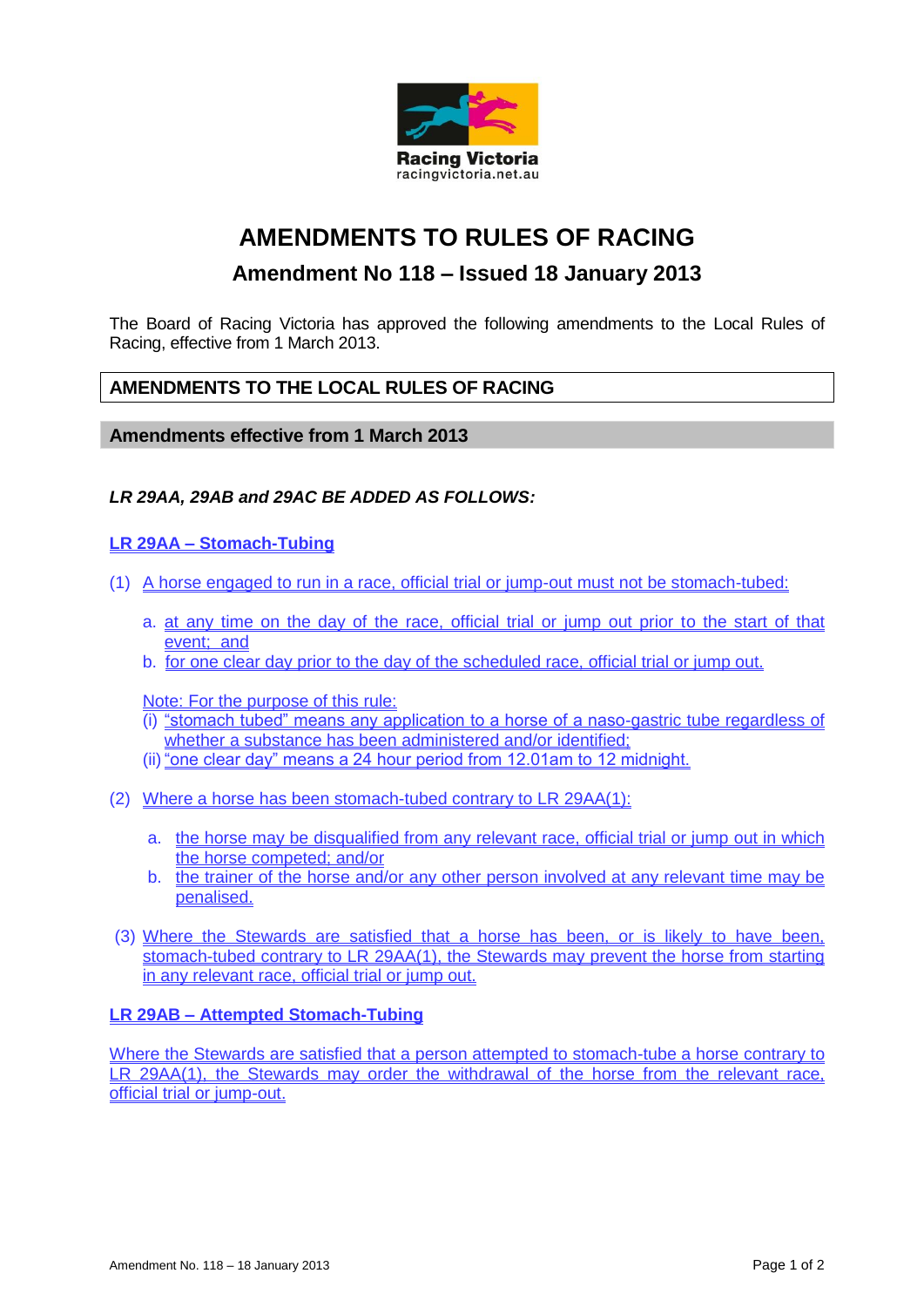

# **AMENDMENTS TO RULES OF RACING**

## **Amendment No 118 – Issued 18 January 2013**

The Board of Racing Victoria has approved the following amendments to the Local Rules of Racing, effective from 1 March 2013.

### **AMENDMENTS TO THE LOCAL RULES OF RACING**

#### **Amendments effective from 1 March 2013**

#### *LR 29AA, 29AB and 29AC BE ADDED AS FOLLOWS:*

#### **LR 29AA – Stomach-Tubing**

- (1) A horse engaged to run in a race, official trial or jump-out must not be stomach-tubed:
	- a. at any time on the day of the race, official trial or jump out prior to the start of that event; and
	- b. for one clear day prior to the day of the scheduled race, official trial or jump out.

Note: For the purpose of this rule:

- (i) "stomach tubed" means any application to a horse of a naso-gastric tube regardless of whether a substance has been administered and/or identified;
- (ii) "one clear day" means a 24 hour period from 12.01am to 12 midnight.
- (2) Where a horse has been stomach-tubed contrary to LR 29AA(1):
	- a. the horse may be disqualified from any relevant race, official trial or jump out in which the horse competed; and/or
	- b. the trainer of the horse and/or any other person involved at any relevant time may be penalised.
- (3) Where the Stewards are satisfied that a horse has been, or is likely to have been, stomach-tubed contrary to LR 29AA(1), the Stewards may prevent the horse from starting in any relevant race, official trial or jump out.

#### **LR 29AB – Attempted Stomach-Tubing**

Where the Stewards are satisfied that a person attempted to stomach-tube a horse contrary to LR 29AA(1), the Stewards may order the withdrawal of the horse from the relevant race, official trial or jump-out.